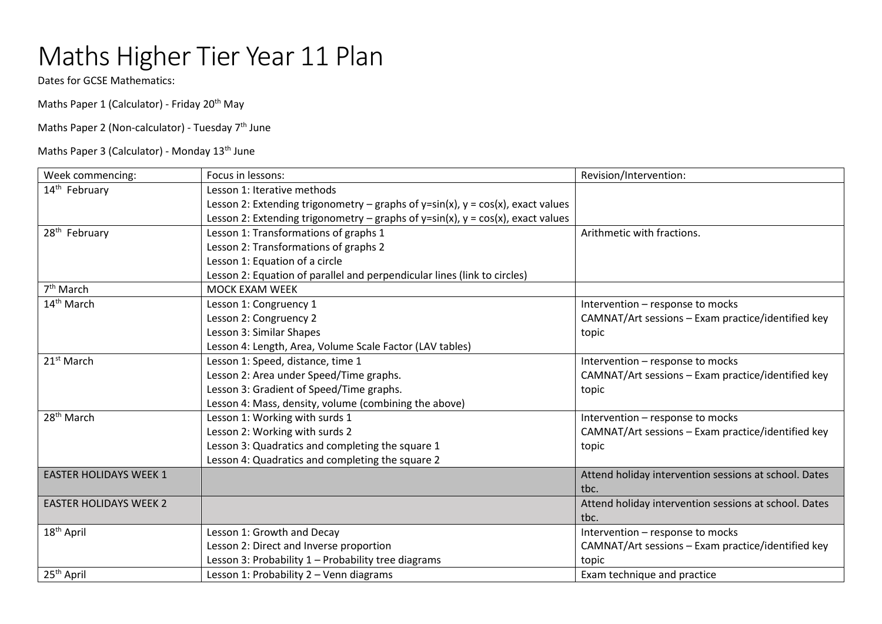## Maths Higher Tier Year 11 Plan

Dates for GCSE Mathematics:

Maths Paper 1 (Calculator) - Friday 20<sup>th</sup> May

Maths Paper 2 (Non-calculator) - Tuesday 7<sup>th</sup> June

Maths Paper 3 (Calculator) - Monday 13<sup>th</sup> June

| Week commencing:              | Focus in lessons:                                                                  | Revision/Intervention:                                |
|-------------------------------|------------------------------------------------------------------------------------|-------------------------------------------------------|
| 14 <sup>th</sup> February     | Lesson 1: Iterative methods                                                        |                                                       |
|                               | Lesson 2: Extending trigonometry – graphs of y=sin(x), $y = cos(x)$ , exact values |                                                       |
|                               | Lesson 2: Extending trigonometry – graphs of y=sin(x), $y = cos(x)$ , exact values |                                                       |
| 28 <sup>th</sup> February     | Lesson 1: Transformations of graphs 1                                              | Arithmetic with fractions.                            |
|                               | Lesson 2: Transformations of graphs 2                                              |                                                       |
|                               | Lesson 1: Equation of a circle                                                     |                                                       |
|                               | Lesson 2: Equation of parallel and perpendicular lines (link to circles)           |                                                       |
| 7 <sup>th</sup> March         | <b>MOCK EXAM WEEK</b>                                                              |                                                       |
| 14 <sup>th</sup> March        | Lesson 1: Congruency 1                                                             | Intervention - response to mocks                      |
|                               | Lesson 2: Congruency 2                                                             | CAMNAT/Art sessions - Exam practice/identified key    |
|                               | Lesson 3: Similar Shapes                                                           | topic                                                 |
|                               | Lesson 4: Length, Area, Volume Scale Factor (LAV tables)                           |                                                       |
| 21 <sup>st</sup> March        | Lesson 1: Speed, distance, time 1                                                  | Intervention - response to mocks                      |
|                               | Lesson 2: Area under Speed/Time graphs.                                            | CAMNAT/Art sessions - Exam practice/identified key    |
|                               | Lesson 3: Gradient of Speed/Time graphs.                                           | topic                                                 |
|                               | Lesson 4: Mass, density, volume (combining the above)                              |                                                       |
| 28 <sup>th</sup> March        | Lesson 1: Working with surds 1                                                     | Intervention - response to mocks                      |
|                               | Lesson 2: Working with surds 2                                                     | CAMNAT/Art sessions - Exam practice/identified key    |
|                               | Lesson 3: Quadratics and completing the square 1                                   | topic                                                 |
|                               | Lesson 4: Quadratics and completing the square 2                                   |                                                       |
| <b>EASTER HOLIDAYS WEEK 1</b> |                                                                                    | Attend holiday intervention sessions at school. Dates |
|                               |                                                                                    | tbc.                                                  |
| <b>EASTER HOLIDAYS WEEK 2</b> |                                                                                    | Attend holiday intervention sessions at school. Dates |
|                               |                                                                                    | tbc.                                                  |
| 18 <sup>th</sup> April        | Lesson 1: Growth and Decay                                                         | Intervention - response to mocks                      |
|                               | Lesson 2: Direct and Inverse proportion                                            | CAMNAT/Art sessions - Exam practice/identified key    |
|                               | Lesson 3: Probability 1 - Probability tree diagrams                                | topic                                                 |
| 25 <sup>th</sup> April        | Lesson 1: Probability 2 - Venn diagrams                                            | Exam technique and practice                           |